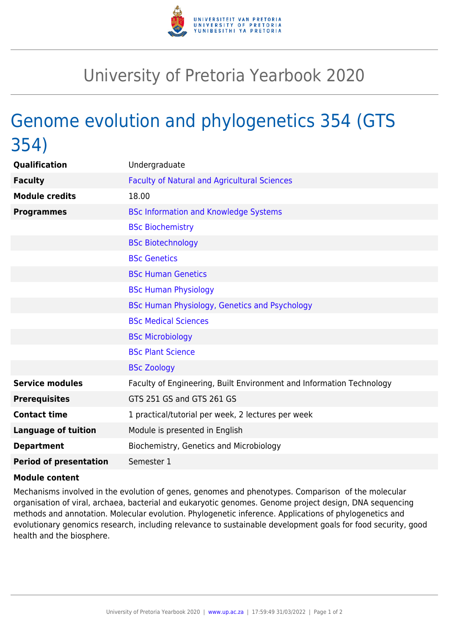

## University of Pretoria Yearbook 2020

## Genome evolution and phylogenetics 354 (GTS 354)

| Qualification                 | Undergraduate                                                        |
|-------------------------------|----------------------------------------------------------------------|
| <b>Faculty</b>                | <b>Faculty of Natural and Agricultural Sciences</b>                  |
| <b>Module credits</b>         | 18.00                                                                |
| <b>Programmes</b>             | <b>BSc Information and Knowledge Systems</b>                         |
|                               | <b>BSc Biochemistry</b>                                              |
|                               | <b>BSc Biotechnology</b>                                             |
|                               | <b>BSc Genetics</b>                                                  |
|                               | <b>BSc Human Genetics</b>                                            |
|                               | <b>BSc Human Physiology</b>                                          |
|                               | BSc Human Physiology, Genetics and Psychology                        |
|                               | <b>BSc Medical Sciences</b>                                          |
|                               | <b>BSc Microbiology</b>                                              |
|                               | <b>BSc Plant Science</b>                                             |
|                               | <b>BSc Zoology</b>                                                   |
| <b>Service modules</b>        | Faculty of Engineering, Built Environment and Information Technology |
| <b>Prerequisites</b>          | GTS 251 GS and GTS 261 GS                                            |
| <b>Contact time</b>           | 1 practical/tutorial per week, 2 lectures per week                   |
| <b>Language of tuition</b>    | Module is presented in English                                       |
| <b>Department</b>             | Biochemistry, Genetics and Microbiology                              |
| <b>Period of presentation</b> | Semester 1                                                           |

## **Module content**

Mechanisms involved in the evolution of genes, genomes and phenotypes. Comparison of the molecular organisation of viral, archaea, bacterial and eukaryotic genomes. Genome project design, DNA sequencing methods and annotation. Molecular evolution. Phylogenetic inference. Applications of phylogenetics and evolutionary genomics research, including relevance to sustainable development goals for food security, good health and the biosphere.